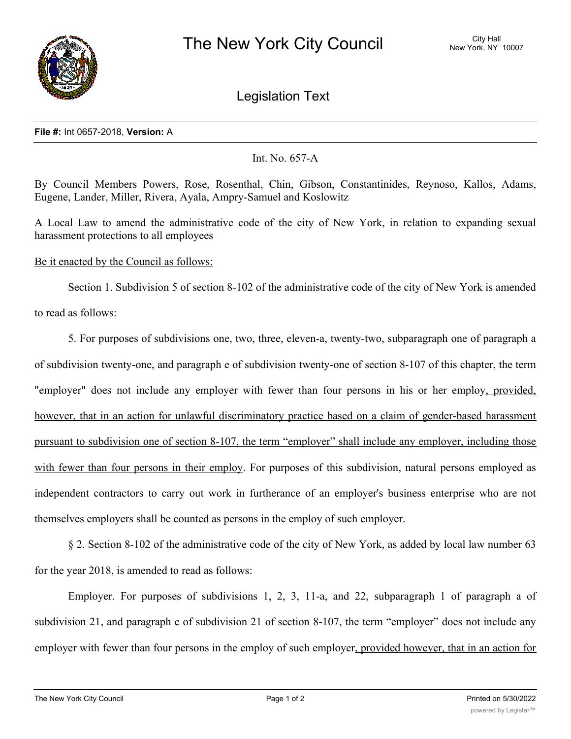

Legislation Text

## **File #:** Int 0657-2018, **Version:** A

## Int. No. 657-A

By Council Members Powers, Rose, Rosenthal, Chin, Gibson, Constantinides, Reynoso, Kallos, Adams, Eugene, Lander, Miller, Rivera, Ayala, Ampry-Samuel and Koslowitz

A Local Law to amend the administrative code of the city of New York, in relation to expanding sexual harassment protections to all employees

Be it enacted by the Council as follows:

Section 1. Subdivision 5 of section 8-102 of the administrative code of the city of New York is amended to read as follows:

5. For purposes of subdivisions one, two, three, eleven-a, twenty-two, subparagraph one of paragraph a of subdivision twenty-one, and paragraph e of subdivision twenty-one of section 8-107 of this chapter, the term "employer" does not include any employer with fewer than four persons in his or her employ, provided, however, that in an action for unlawful discriminatory practice based on a claim of gender-based harassment pursuant to subdivision one of section 8-107, the term "employer" shall include any employer, including those with fewer than four persons in their employ. For purposes of this subdivision, natural persons employed as independent contractors to carry out work in furtherance of an employer's business enterprise who are not themselves employers shall be counted as persons in the employ of such employer.

§ 2. Section 8-102 of the administrative code of the city of New York, as added by local law number 63 for the year 2018, is amended to read as follows:

Employer. For purposes of subdivisions 1, 2, 3, 11-a, and 22, subparagraph 1 of paragraph a of subdivision 21, and paragraph e of subdivision 21 of section 8-107, the term "employer" does not include any employer with fewer than four persons in the employ of such employer, provided however, that in an action for